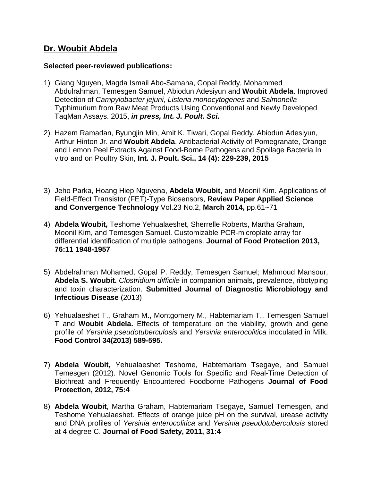## **Dr. Woubit Abdela**

## **Selected peer-reviewed publications:**

- 1) Giang Nguyen, Magda Ismail Abo-Samaha, Gopal Reddy, Mohammed Abdulrahman, Temesgen Samuel, Abiodun Adesiyun and **Woubit Abdela**. Improved Detection of *Campylobacter jejuni*, *Listeria monocytogenes* and *Salmonella* Typhimurium from Raw Meat Products Using Conventional and Newly Developed TaqMan Assays. 2015, *in press, Int. J. Poult. Sci.*
- 2) Hazem Ramadan, Byungjin Min, Amit K. Tiwari, Gopal Reddy, Abiodun Adesiyun, Arthur Hinton Jr. and **Woubit Abdela**. Antibacterial Activity of Pomegranate, Orange and Lemon Peel Extracts Against Food-Borne Pathogens and Spoilage Bacteria In vitro and on Poultry Skin, **Int. J. Poult. Sci., 14 (4): 229-239, 2015**
- 3) Jeho Parka, Hoang Hiep Nguyena, **Abdela Woubit,** and Moonil Kim. Applications of Field-Effect Transistor (FET)-Type Biosensors, **Review Paper Applied Science and Convergence Technology** Vol.23 No.2, **March 2014,** pp.61~71
- 4) **Abdela Woubit,** Teshome Yehualaeshet, Sherrelle Roberts, Martha Graham, Moonil Kim, and Temesgen Samuel. Customizable PCR-microplate array for differential identification of multiple pathogens. **Journal of Food Protection 2013, 76:11 1948-1957**
- 5) Abdelrahman Mohamed, Gopal P. Reddy, Temesgen Samuel; Mahmoud Mansour, **Abdela S. Woubit.** *Clostridium difficile* in companion animals, prevalence, ribotyping and toxin characterization. **Submitted Journal of Diagnostic Microbiology and Infectious Disease** (2013)
- 6) Yehualaeshet T., Graham M., Montgomery M., Habtemariam T., Temesgen Samuel T and **Woubit Abdela.** Effects of temperature on the viability, growth and gene profile of *Yersinia pseudotuberculosis* and *Yersinia enterocolitica* inoculated in Milk. **Food Control 34(2013) 589-595.**
- 7) **Abdela Woubit,** Yehualaeshet Teshome, Habtemariam Tsegaye, and Samuel Temesgen (2012). Novel Genomic Tools for Specific and Real-Time Detection of Biothreat and Frequently Encountered Foodborne Pathogens **Journal of Food Protection, 2012, 75:4**
- 8) **Abdela Woubit**, Martha Graham, Habtemariam Tsegaye, Samuel Temesgen, and Teshome Yehualaeshet. Effects of orange juice pH on the survival, urease activity and DNA profiles of *Yersinia enterocolitica* and *Yersinia pseudotuberculosis* stored at 4 degree C. **Journal of Food Safety, 2011, 31:4**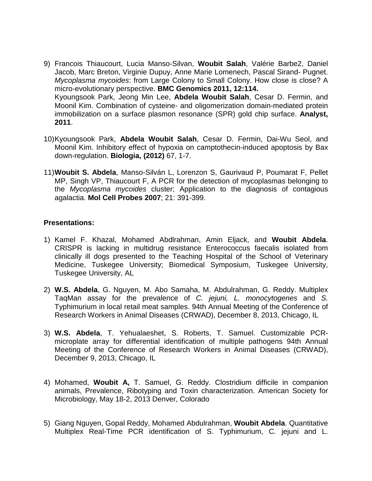- 9) Francois Thiaucourt, Lucia Manso-Silvan, **Woubit Salah**, Valérie Barbe2, Daniel Jacob, Marc Breton, Virginie Dupuy, Anne Marie Lomenech, Pascal Sirand- Pugnet. *Mycoplasma mycoides*: from Large Colony to Small Colony. How close is close? A micro-evolutionary perspective. **BMC Genomics 2011, 12:114.** Kyoungsook Park, Jeong Min Lee, **Abdela Woubit Salah**, Cesar D. Fermin, and Moonil Kim. Combination of cysteine- and oligomerization domain-mediated protein immobilization on a surface plasmon resonance (SPR) gold chip surface. **Analyst, 2011**.
- 10)Kyoungsook Park, **Abdela Woubit Salah**, Cesar D. Fermin, Dai-Wu Seol, and Moonil Kim. Inhibitory effect of hypoxia on camptothecin-induced apoptosis by Bax down-regulation. **Biologia, (2012)** 67, 1-7.
- 11)**Woubit S. Abdela**, Manso-Silván L, Lorenzon S, Gaurivaud P, Poumarat F, Pellet MP, Singh VP, Thiaucourt F, A PCR for the detection of mycoplasmas belonging to the *Mycoplasma mycoides* cluster; Application to the diagnosis of contagious agalactia. **Mol Cell Probes 2007**; 21: 391-399.

## **Presentations:**

- 1) Kamel F. Khazal, Mohamed Abdlrahman, Amin Eljack, and **Woubit Abdela**. CRISPR is lacking in multidrug resistance Enterococcus faecalis isolated from clinically ill dogs presented to the Teaching Hospital of the School of Veterinary Medicine, Tuskegee University; Biomedical Symposium, Tuskegee University, Tuskegee University, AL
- 2) **W.S. Abdela**, G. Nguyen, M. Abo Samaha, M. Abdulrahman, G. Reddy. Multiplex TaqMan assay for the prevalence of *C. jejuni, L. monocytogenes* and *S.*  Typhimurium in local retail meat samples. 94th Annual Meeting of the Conference of Research Workers in Animal Diseases (CRWAD), December 8, 2013, Chicago, IL
- 3) **W.S. Abdela**, T. Yehualaeshet, S. Roberts, T. Samuel. Customizable PCRmicroplate array for differential identification of multiple pathogens 94th Annual Meeting of the Conference of Research Workers in Animal Diseases (CRWAD), December 9, 2013, Chicago, IL
- 4) Mohamed, **Woubit A,** T. Samuel, G. Reddy. Clostridium difficile in companion animals, Prevalence, Ribotyping and Toxin characterization. American Society for Microbiology, May 18-2, 2013 Denver, Colorado
- 5) Giang Nguyen, Gopal Reddy, Mohamed Abdulrahman, **Woubit Abdela**. Quantitative Multiplex Real-Time PCR identification of S. Typhimurium, C. jejuni and L.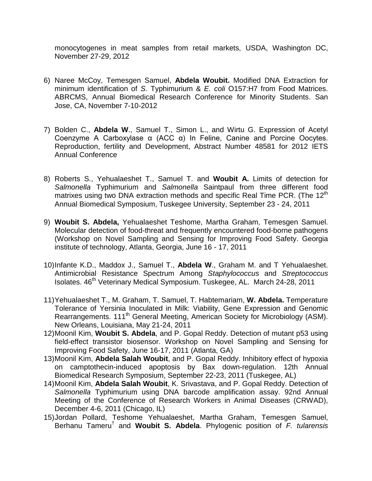monocytogenes in meat samples from retail markets, USDA, Washington DC, November 27-29, 2012

- 6) Naree McCoy, Temesgen Samuel, **Abdela Woubit.** Modified DNA Extraction for minimum identification of *S.* Typhimurium & *E. coli* O157:H7 from Food Matrices. ABRCMS, Annual Biomedical Research Conference for Minority Students. San Jose, CA, November 7-10-2012
- 7) Bolden C., **Abdela W**., Samuel T., Simon L., and Wirtu G. Expression of Acetyl Coenzyme A Carboxylase α (ACC α) In Feline, Canine and Porcine Oocytes. Reproduction, fertility and Development, Abstract Number 48581 for 2012 IETS Annual Conference
- 8) Roberts S., Yehualaeshet T., Samuel T. and **Woubit A.** Limits of detection for *Salmonella* Typhimurium and *Salmonella* Saintpaul from three different food matrixes using two DNA extraction methods and specific Real Time PCR. (The 12<sup>th</sup>) Annual Biomedical Symposium, Tuskegee University, September 23 - 24, 2011
- 9) **Woubit S. Abdela,** Yehualaeshet Teshome, Martha Graham, Temesgen Samuel. Molecular detection of food-threat and frequently encountered food-borne pathogens (Workshop on Novel Sampling and Sensing for Improving Food Safety. Georgia institute of technology, Atlanta, Georgia, June 16 - 17, 2011
- 10)Infante K.D., Maddox J., Samuel T., **Abdela W**., Graham M. and T Yehualaeshet. Antimicrobial Resistance Spectrum Among *Staphylococcus* and *Streptococcus* Isolates. 46<sup>th</sup> Veterinary Medical Symposium. Tuskegee, AL. March 24-28, 2011
- 11)Yehualaeshet T., M. Graham, T. Samuel, T. Habtemariam, **W. Abdela.** Temperature Tolerance of Yersinia Inoculated in Milk: Viability, Gene Expression and Genomic Rearrangements. 111<sup>th</sup> General Meeting, American Society for Microbiology (ASM). New Orleans, Louisiana, May 21-24, 2011
- 12)Moonil Kim, **Woubit S. Abdela**, and P. Gopal Reddy. Detection of mutant p53 using field-effect transistor biosensor. Workshop on Novel Sampling and Sensing for Improving Food Safety, June 16-17, 2011 (Atlanta, GA)
- 13)Moonil Kim, **Abdela Salah Woubit**, and P. Gopal Reddy. Inhibitory effect of hypoxia on camptothecin-induced apoptosis by Bax down-regulation. 12th Annual Biomedical Research Symposium, September 22-23, 2011 (Tuskegee, AL)
- 14)Moonil Kim, **Abdela Salah Woubit**, K. Srivastava, and P. Gopal Reddy. Detection of *Salmonella* Typhimurium using DNA barcode amplification assay. 92nd Annual Meeting of the Conference of Research Workers in Animal Diseases (CRWAD), December 4-6, 2011 (Chicago, IL)
- 15)Jordan Pollard, Teshome Yehualaeshet, Martha Graham, Temesgen Samuel, Berhanu Tameru† and **Woubit S. Abdela**. Phylogenic position of *F. tularensis*